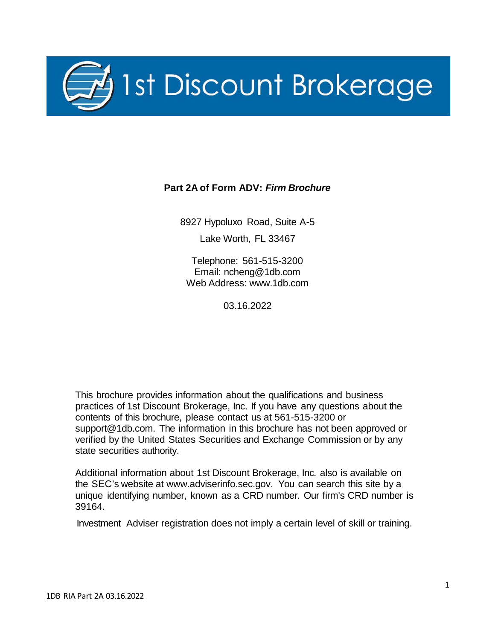

#### **Part 2A of Form ADV:** *Firm Brochure*

8927 Hypoluxo Road, Suite A-5 Lake Worth, FL 33467

Telephone: 561-515-3200 Email: [ncheng@1db.com](mailto:ncheng@1db.com) Web Address: [www.1db.com](http://www.1db.com/)

03.16.2022

This brochure provides information about the qualifications and business practices of 1st Discount Brokerage, Inc. If you have any questions about the contents of this brochure, please contact us at 561-515-3200 or [support@1db.com.](mailto:support@1db.com) The information in this brochure has not been approved or verified by the United States Securities and Exchange Commission or by any state securities authority.

Additional information about 1st Discount Brokerage, Inc. also is available on the SEC's website at [www.adviserinfo.sec.gov.](http://www.adviserinfo.sec.gov/) You can search this site by a unique identifying number, known as a CRD number. Our firm's CRD number is 39164.

Investment Adviser registration does not imply a certain level of skill or training.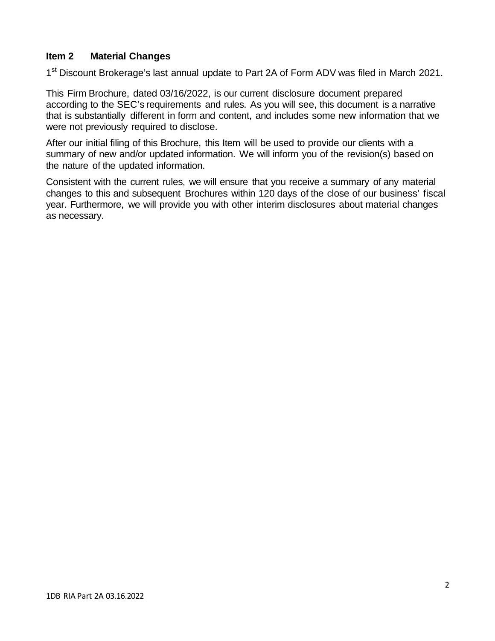#### <span id="page-1-0"></span>**Item 2 Material Changes**

1<sup>st</sup> Discount Brokerage's last annual update to Part 2A of Form ADV was filed in March 2021.

This Firm Brochure, dated 03/16/2022, is our current disclosure document prepared according to the SEC's requirements and rules. As you will see, this document is a narrative that is substantially different in form and content, and includes some new information that we were not previously required to disclose.

After our initial filing of this Brochure, this Item will be used to provide our clients with a summary of new and/or updated information. We will inform you of the revision(s) based on the nature of the updated information.

Consistent with the current rules, we will ensure that you receive a summary of any material changes to this and subsequent Brochures within 120 days of the close of our business' fiscal year. Furthermore, we will provide you with other interim disclosures about material changes as necessary.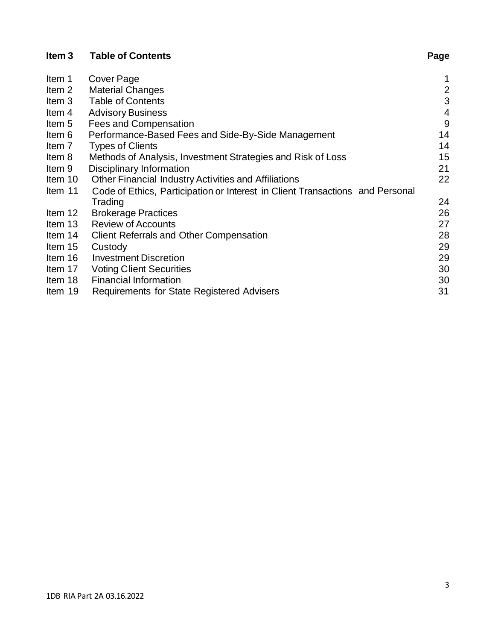| ltem 5 | Fees and Compensation |  |   |  |  |
|--------|-----------------------|--|---|--|--|
|        |                       |  | . |  |  |

Cover Page

**Table of Contents**

<span id="page-2-0"></span>**Item 3**

Item 1<br>Item 2

| Item 6  | Performance-Based Fees and Side-By-Side Management                            | 14 |
|---------|-------------------------------------------------------------------------------|----|
| Item 7  | <b>Types of Clients</b>                                                       | 14 |
| Item 8  | Methods of Analysis, Investment Strategies and Risk of Loss                   | 15 |
| Item 9  | Disciplinary Information                                                      | 21 |
| Item 10 | Other Financial Industry Activities and Affiliations                          | 22 |
| Item 11 | Code of Ethics, Participation or Interest in Client Transactions and Personal |    |
|         | Trading                                                                       | 24 |
| Item 12 | <b>Brokerage Practices</b>                                                    | 26 |
| Item 13 | <b>Review of Accounts</b>                                                     | 27 |
| Item 14 | <b>Client Referrals and Other Compensation</b>                                | 28 |
| Item 15 | Custody                                                                       | 29 |
| Item 16 | <b>Investment Discretion</b>                                                  | 29 |
| Item 17 | <b>Voting Client Securities</b>                                               | 30 |
| Item 18 | <b>Financial Information</b>                                                  | 30 |
| Item 19 | <b>Requirements for State Registered Advisers</b>                             | 31 |

[Item](#page-1-0) 2 [Material Changes](#page-1-0) 2<br>
Item 3 Table of Contents 3

[Item](#page-3-0) 4 Advisory [Business](#page-3-0) 4

Table of [Contents](#page-2-0) 3<br>Advisory Business 3

# **Page**

 $\begin{array}{c} 1 \\ 2 \end{array}$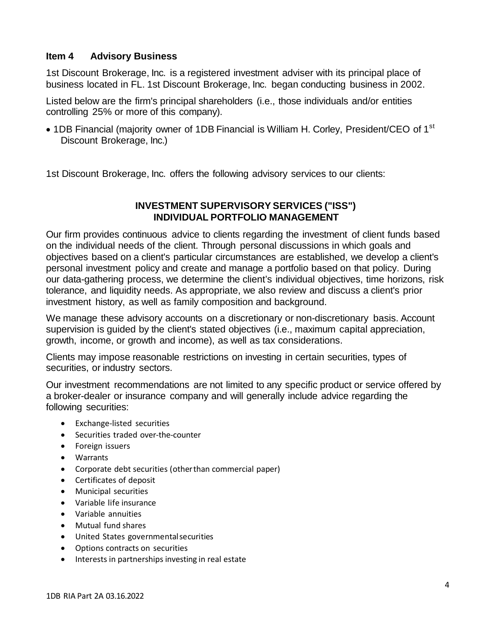#### <span id="page-3-0"></span>**Item 4 Advisory Business**

1st Discount Brokerage, Inc. is a registered investment adviser with its principal place of business located in FL. 1st Discount Brokerage, Inc. began conducting business in 2002.

Listed below are the firm's principal shareholders (i.e., those individuals and/or entities controlling 25% or more of this company).

• 1DB Financial (majority owner of 1DB Financial is William H. Corley, President/CEO of 1<sup>st</sup> Discount Brokerage, Inc.)

1st Discount Brokerage, Inc. offers the following advisory services to our clients:

### **INVESTMENT SUPERVISORY SERVICES ("ISS") INDIVIDUAL PORTFOLIO MANAGEMENT**

Our firm provides continuous advice to clients regarding the investment of client funds based on the individual needs of the client. Through personal discussions in which goals and objectives based on a client's particular circumstances are established, we develop a client's personal investment policy and create and manage a portfolio based on that policy. During our data-gathering process, we determine the client's individual objectives, time horizons, risk tolerance, and liquidity needs. As appropriate, we also review and discuss a client's prior investment history, as well as family composition and background.

We manage these advisory accounts on a discretionary or non-discretionary basis. Account supervision is guided by the client's stated objectives (i.e., maximum capital appreciation, growth, income, or growth and income), as well as tax considerations.

Clients may impose reasonable restrictions on investing in certain securities, types of securities, or industry sectors.

Our investment recommendations are not limited to any specific product or service offered by a broker-dealer or insurance company and will generally include advice regarding the following securities:

- Exchange-listed securities
- Securities traded over-the-counter
- Foreign issuers
- Warrants
- Corporate debt securities (otherthan commercial paper)
- Certificates of deposit
- Municipal securities
- Variable life insurance
- Variable annuities
- Mutual fund shares
- United States governmentalsecurities
- Options contracts on securities
- Interests in partnerships investing in real estate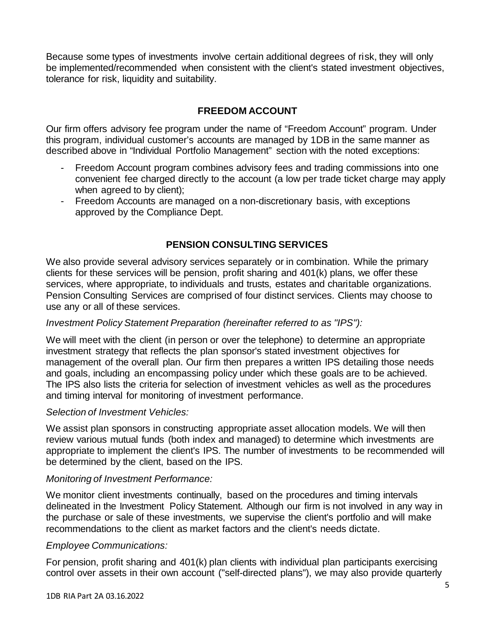Because some types of investments involve certain additional degrees of risk, they will only be implemented/recommended when consistent with the client's stated investment objectives, tolerance for risk, liquidity and suitability.

## **FREEDOM ACCOUNT**

Our firm offers advisory fee program under the name of "Freedom Account" program. Under this program, individual customer's accounts are managed by 1DB in the same manner as described above in "Individual Portfolio Management" section with the noted exceptions:

- Freedom Account program combines advisory fees and trading commissions into one convenient fee charged directly to the account (a low per trade ticket charge may apply when agreed to by client);
- Freedom Accounts are managed on a non-discretionary basis, with exceptions approved by the Compliance Dept.

### **PENSION CONSULTING SERVICES**

We also provide several advisory services separately or in combination. While the primary clients for these services will be pension, profit sharing and 401(k) plans, we offer these services, where appropriate, to individuals and trusts, estates and charitable organizations. Pension Consulting Services are comprised of four distinct services. Clients may choose to use any or all of these services.

#### *Investment Policy Statement Preparation (hereinafter referred to as ''IPS''):*

We will meet with the client (in person or over the telephone) to determine an appropriate investment strategy that reflects the plan sponsor's stated investment objectives for management of the overall plan. Our firm then prepares a written IPS detailing those needs and goals, including an encompassing policy under which these goals are to be achieved. The IPS also lists the criteria for selection of investment vehicles as well as the procedures and timing interval for monitoring of investment performance.

#### *Selection of Investment Vehicles:*

We assist plan sponsors in constructing appropriate asset allocation models. We will then review various mutual funds (both index and managed) to determine which investments are appropriate to implement the client's IPS. The number of investments to be recommended will be determined by the client, based on the IPS.

#### *Monitoring of Investment Performance:*

We monitor client investments continually, based on the procedures and timing intervals delineated in the Investment Policy Statement. Although our firm is not involved in any way in the purchase or sale of these investments, we supervise the client's portfolio and will make recommendations to the client as market factors and the client's needs dictate.

#### *Employee Communications:*

For pension, profit sharing and 401(k) plan clients with individual plan participants exercising control over assets in their own account (''self-directed plans''), we may also provide quarterly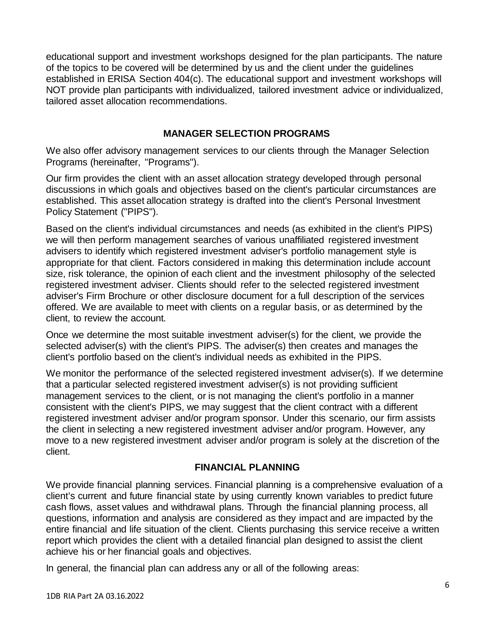educational support and investment workshops designed for the plan participants. The nature of the topics to be covered will be determined by us and the client under the guidelines established in ERISA Section 404(c). The educational support and investment workshops will NOT provide plan participants with individualized, tailored investment advice or individualized, tailored asset allocation recommendations.

#### **MANAGER SELECTION PROGRAMS**

We also offer advisory management services to our clients through the Manager Selection Programs (hereinafter, "Programs").

Our firm provides the client with an asset allocation strategy developed through personal discussions in which goals and objectives based on the client's particular circumstances are established. This asset allocation strategy is drafted into the client's Personal Investment Policy Statement ("PIPS").

Based on the client's individual circumstances and needs (as exhibited in the client's PIPS) we will then perform management searches of various unaffiliated registered investment advisers to identify which registered investment adviser's portfolio management style is appropriate for that client. Factors considered in making this determination include account size, risk tolerance, the opinion of each client and the investment philosophy of the selected registered investment adviser. Clients should refer to the selected registered investment adviser's Firm Brochure or other disclosure document for a full description of the services offered. We are available to meet with clients on a regular basis, or as determined by the client, to review the account.

Once we determine the most suitable investment adviser(s) for the client, we provide the selected adviser(s) with the client's PIPS. The adviser(s) then creates and manages the client's portfolio based on the client's individual needs as exhibited in the PIPS.

We monitor the performance of the selected registered investment adviser(s). If we determine that a particular selected registered investment adviser(s) is not providing sufficient management services to the client, or is not managing the client's portfolio in a manner consistent with the client's PIPS, we may suggest that the client contract with a different registered investment adviser and/or program sponsor. Under this scenario, our firm assists the client in selecting a new registered investment adviser and/or program. However, any move to a new registered investment adviser and/or program is solely at the discretion of the client.

#### **FINANCIAL PLANNING**

We provide financial planning services. Financial planning is a comprehensive evaluation of a client's current and future financial state by using currently known variables to predict future cash flows, asset values and withdrawal plans. Through the financial planning process, all questions, information and analysis are considered as they impact and are impacted by the entire financial and life situation of the client. Clients purchasing this service receive a written report which provides the client with a detailed financial plan designed to assist the client achieve his or her financial goals and objectives.

In general, the financial plan can address any or all of the following areas: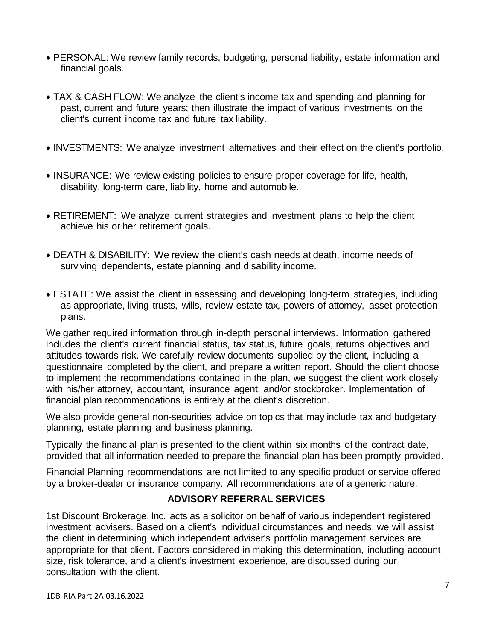- PERSONAL: We review family records, budgeting, personal liability, estate information and financial goals.
- TAX & CASH FLOW: We analyze the client's income tax and spending and planning for past, current and future years; then illustrate the impact of various investments on the client's current income tax and future tax liability.
- INVESTMENTS: We analyze investment alternatives and their effect on the client's portfolio.
- INSURANCE: We review existing policies to ensure proper coverage for life, health, disability, long-term care, liability, home and automobile.
- RETIREMENT: We analyze current strategies and investment plans to help the client achieve his or her retirement goals.
- DEATH & DISABILITY: We review the client's cash needs at death, income needs of surviving dependents, estate planning and disability income.
- ESTATE: We assist the client in assessing and developing long-term strategies, including as appropriate, living trusts, wills, review estate tax, powers of attorney, asset protection plans.

We gather required information through in-depth personal interviews. Information gathered includes the client's current financial status, tax status, future goals, returns objectives and attitudes towards risk. We carefully review documents supplied by the client, including a questionnaire completed by the client, and prepare a written report. Should the client choose to implement the recommendations contained in the plan, we suggest the client work closely with his/her attorney, accountant, insurance agent, and/or stockbroker. Implementation of financial plan recommendations is entirely at the client's discretion.

We also provide general non-securities advice on topics that may include tax and budgetary planning, estate planning and business planning.

Typically the financial plan is presented to the client within six months of the contract date, provided that all information needed to prepare the financial plan has been promptly provided.

Financial Planning recommendations are not limited to any specific product or service offered by a broker-dealer or insurance company. All recommendations are of a generic nature.

# **ADVISORY REFERRAL SERVICES**

1st Discount Brokerage, Inc. acts as a solicitor on behalf of various independent registered investment advisers. Based on a client's individual circumstances and needs, we will assist the client in determining which independent adviser's portfolio management services are appropriate for that client. Factors considered in making this determination, including account size, risk tolerance, and a client's investment experience, are discussed during our consultation with the client.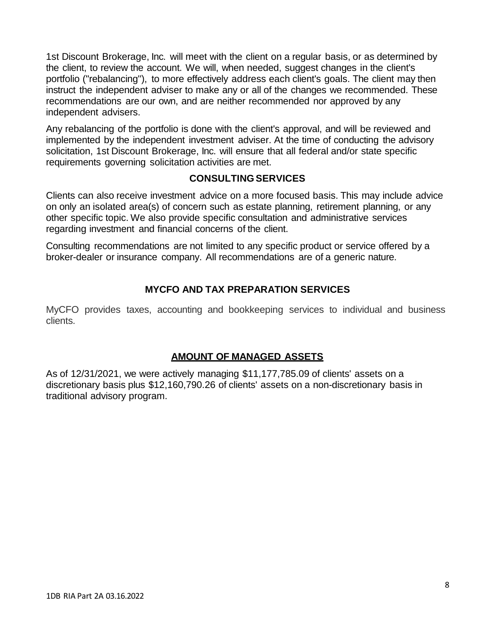1st Discount Brokerage, Inc. will meet with the client on a regular basis, or as determined by the client, to review the account. We will, when needed, suggest changes in the client's portfolio (''rebalancing''), to more effectively address each client's goals. The client may then instruct the independent adviser to make any or all of the changes we recommended. These recommendations are our own, and are neither recommended nor approved by any independent advisers.

Any rebalancing of the portfolio is done with the client's approval, and will be reviewed and implemented by the independent investment adviser. At the time of conducting the advisory solicitation, 1st Discount Brokerage, Inc. will ensure that all federal and/or state specific requirements governing solicitation activities are met.

#### **CONSULTINGSERVICES**

Clients can also receive investment advice on a more focused basis. This may include advice on only an isolated area(s) of concern such as estate planning, retirement planning, or any other specific topic. We also provide specific consultation and administrative services regarding investment and financial concerns of the client.

Consulting recommendations are not limited to any specific product or service offered by a broker-dealer or insurance company. All recommendations are of a generic nature.

### **MYCFO AND TAX PREPARATION SERVICES**

MyCFO provides taxes, accounting and bookkeeping services to individual and business clients.

#### **AMOUNT OF MANAGED ASSETS**

As of 12/31/2021, we were actively managing \$11,177,785.09 of clients' assets on a discretionary basis plus \$12,160,790.26 of clients' assets on a non-discretionary basis in traditional advisory program.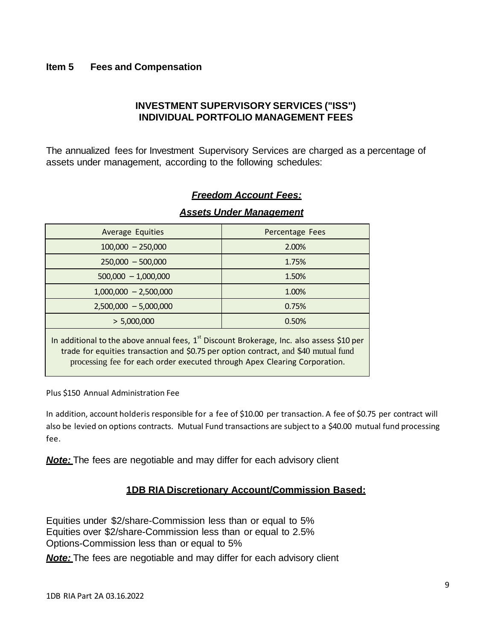#### <span id="page-8-0"></span>**Item 5 Fees and Compensation**

# **INVESTMENT SUPERVISORY SERVICES ("ISS") INDIVIDUAL PORTFOLIO MANAGEMENT FEES**

The annualized fees for Investment Supervisory Services are charged as a percentage of assets under management, according to the following schedules:

|                                                                                                                                                                                                                                                                 | <b>Assets Under Management</b> |  |  |
|-----------------------------------------------------------------------------------------------------------------------------------------------------------------------------------------------------------------------------------------------------------------|--------------------------------|--|--|
| <b>Average Equities</b>                                                                                                                                                                                                                                         | Percentage Fees                |  |  |
| $100,000 - 250,000$                                                                                                                                                                                                                                             | 2.00%                          |  |  |
| $250,000 - 500,000$                                                                                                                                                                                                                                             | 1.75%                          |  |  |
| $500,000 - 1,000,000$                                                                                                                                                                                                                                           | 1.50%                          |  |  |
| $1,000,000 - 2,500,000$                                                                                                                                                                                                                                         | 1.00%                          |  |  |
| $2,500,000 - 5,000,000$                                                                                                                                                                                                                                         | 0.75%                          |  |  |
| > 5,000,000                                                                                                                                                                                                                                                     | 0.50%                          |  |  |
| In additional to the above annual fees, $1st$ Discount Brokerage, Inc. also assess \$10 per<br>trade for equities transaction and \$0.75 per option contract, and \$40 mutual fund<br>processing fee for each order executed through Apex Clearing Corporation. |                                |  |  |

#### *Freedom Account Fees:*

Plus \$150 Annual Administration Fee

In addition, account holderis responsible for a fee of \$10.00 per transaction. A fee of \$0.75 per contract will also be levied on options contracts. Mutual Fund transactions are subject to a \$40.00 mutual fund processing fee.

*Note:* The fees are negotiable and may differ for each advisory client

# **1DB RIA Discretionary Account/Commission Based:**

Equities under \$2/share-Commission less than or equal to 5% Equities over \$2/share-Commission less than or equal to 2.5% Options-Commission less than or equal to 5%

*Note:* The fees are negotiable and may differ for each advisory client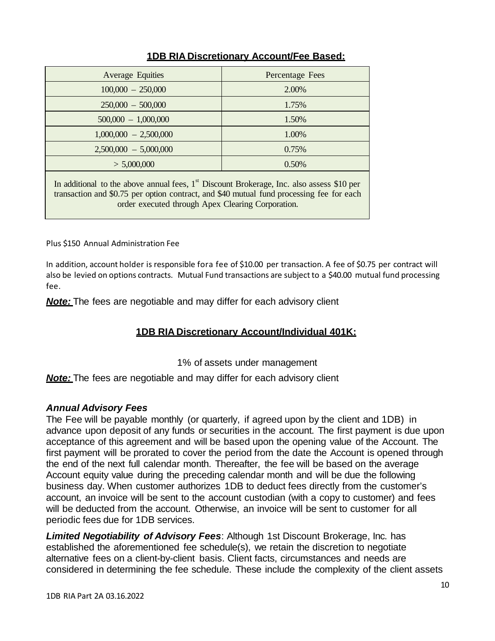| <b>Average Equities</b>                                                                     | Percentage Fees |  |
|---------------------------------------------------------------------------------------------|-----------------|--|
| $100,000 - 250,000$                                                                         | 2.00%           |  |
| $250,000 - 500,000$                                                                         | 1.75%           |  |
| $500,000 - 1,000,000$                                                                       | 1.50%           |  |
| $1,000,000 - 2,500,000$                                                                     | 1.00%           |  |
| $2,500,000 - 5,000,000$                                                                     | 0.75%           |  |
| > 5,000,000                                                                                 | 0.50%           |  |
| In additional to the above annual fees, $1st$ Discount Brokerage. Inc. also assess \$10 per |                 |  |

# **1DB RIA Discretionary Account/Fee Based:**

In additional to the above annual fees, 1 st Discount Brokerage, Inc. also assess \$10 per transaction and \$0.75 per option contract, and \$40 mutual fund processing fee for each order executed through Apex Clearing Corporation.

Plus \$150 Annual Administration Fee

In addition, account holder is responsible fora fee of \$10.00 per transaction. A fee of \$0.75 per contract will also be levied on options contracts. Mutual Fund transactions are subject to a \$40.00 mutual fund processing fee.

*Note:* The fees are negotiable and may differ for each advisory client

# **1DB RIA Discretionary Account/Individual 401K:**

1% of assets under management

*Note:* The fees are negotiable and may differ for each advisory client

#### *Annual Advisory Fees*

The Fee will be payable monthly (or quarterly, if agreed upon by the client and 1DB) in advance upon deposit of any funds or securities in the account. The first payment is due upon acceptance of this agreement and will be based upon the opening value of the Account. The first payment will be prorated to cover the period from the date the Account is opened through the end of the next full calendar month. Thereafter, the fee will be based on the average Account equity value during the preceding calendar month and will be due the following business day. When customer authorizes 1DB to deduct fees directly from the customer's account, an invoice will be sent to the account custodian (with a copy to customer) and fees will be deducted from the account. Otherwise, an invoice will be sent to customer for all periodic fees due for 1DB services.

*Limited Negotiability of Advisory Fees*: Although 1st Discount Brokerage, Inc. has established the aforementioned fee schedule(s), we retain the discretion to negotiate alternative fees on a client-by-client basis. Client facts, circumstances and needs are considered in determining the fee schedule. These include the complexity of the client assets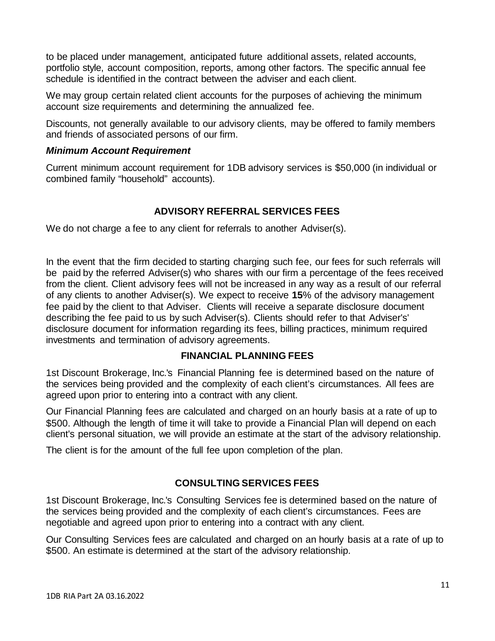to be placed under management, anticipated future additional assets, related accounts, portfolio style, account composition, reports, among other factors. The specific annual fee schedule is identified in the contract between the adviser and each client.

We may group certain related client accounts for the purposes of achieving the minimum account size requirements and determining the annualized fee.

Discounts, not generally available to our advisory clients, may be offered to family members and friends of associated persons of our firm.

#### *Minimum Account Requirement*

Current minimum account requirement for 1DB advisory services is \$50,000 (in individual or combined family "household" accounts).

### **ADVISORY REFERRAL SERVICES FEES**

We do not charge a fee to any client for referrals to another Adviser(s).

In the event that the firm decided to starting charging such fee, our fees for such referrals will be paid by the referred Adviser(s) who shares with our firm a percentage of the fees received from the client. Client advisory fees will not be increased in any way as a result of our referral of any clients to another Adviser(s). We expect to receive **15**% of the advisory management fee paid by the client to that Adviser. Clients will receive a separate disclosure document describing the fee paid to us by such Adviser(s). Clients should refer to that Adviser's' disclosure document for information regarding its fees, billing practices, minimum required investments and termination of advisory agreements.

#### **FINANCIAL PLANNING FEES**

1st Discount Brokerage, Inc.'s Financial Planning fee is determined based on the nature of the services being provided and the complexity of each client's circumstances. All fees are agreed upon prior to entering into a contract with any client.

Our Financial Planning fees are calculated and charged on an hourly basis at a rate of up to \$500. Although the length of time it will take to provide a Financial Plan will depend on each client's personal situation, we will provide an estimate at the start of the advisory relationship.

The client is for the amount of the full fee upon completion of the plan.

# **CONSULTING SERVICES FEES**

1st Discount Brokerage, Inc.'s Consulting Services fee is determined based on the nature of the services being provided and the complexity of each client's circumstances. Fees are negotiable and agreed upon prior to entering into a contract with any client.

Our Consulting Services fees are calculated and charged on an hourly basis at a rate of up to \$500. An estimate is determined at the start of the advisory relationship.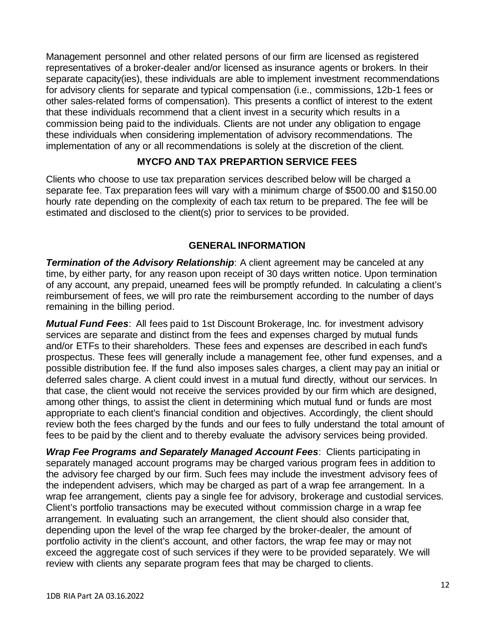Management personnel and other related persons of our firm are licensed as registered representatives of a broker-dealer and/or licensed as insurance agents or brokers. In their separate capacity(ies), these individuals are able to implement investment recommendations for advisory clients for separate and typical compensation (i.e., commissions, 12b-1 fees or other sales-related forms of compensation). This presents a conflict of interest to the extent that these individuals recommend that a client invest in a security which results in a commission being paid to the individuals. Clients are not under any obligation to engage these individuals when considering implementation of advisory recommendations. The implementation of any or all recommendations is solely at the discretion of the client.

#### **MYCFO AND TAX PREPARTION SERVICE FEES**

Clients who choose to use tax preparation services described below will be charged a separate fee. Tax preparation fees will vary with a minimum charge of \$500.00 and \$150.00 hourly rate depending on the complexity of each tax return to be prepared. The fee will be estimated and disclosed to the client(s) prior to services to be provided.

#### **GENERAL INFORMATION**

*Termination of the Advisory Relationship: A client agreement may be canceled at any* time, by either party, for any reason upon receipt of 30 days written notice. Upon termination of any account, any prepaid, unearned fees will be promptly refunded. In calculating a client's reimbursement of fees, we will pro rate the reimbursement according to the number of days remaining in the billing period.

*Mutual Fund Fees*: All fees paid to 1st Discount Brokerage, Inc. for investment advisory services are separate and distinct from the fees and expenses charged by mutual funds and/or ETFs to their shareholders. These fees and expenses are described in each fund's prospectus. These fees will generally include a management fee, other fund expenses, and a possible distribution fee. If the fund also imposes sales charges, a client may pay an initial or deferred sales charge. A client could invest in a mutual fund directly, without our services. In that case, the client would not receive the services provided by our firm which are designed, among other things, to assist the client in determining which mutual fund or funds are most appropriate to each client's financial condition and objectives. Accordingly, the client should review both the fees charged by the funds and our fees to fully understand the total amount of fees to be paid by the client and to thereby evaluate the advisory services being provided.

*Wrap Fee Programs and Separately Managed Account Fees*: Clients participating in separately managed account programs may be charged various program fees in addition to the advisory fee charged by our firm. Such fees may include the investment advisory fees of the independent advisers, which may be charged as part of a wrap fee arrangement. In a wrap fee arrangement, clients pay a single fee for advisory, brokerage and custodial services. Client's portfolio transactions may be executed without commission charge in a wrap fee arrangement. In evaluating such an arrangement, the client should also consider that, depending upon the level of the wrap fee charged by the broker-dealer, the amount of portfolio activity in the client's account, and other factors, the wrap fee may or may not exceed the aggregate cost of such services if they were to be provided separately. We will review with clients any separate program fees that may be charged to clients.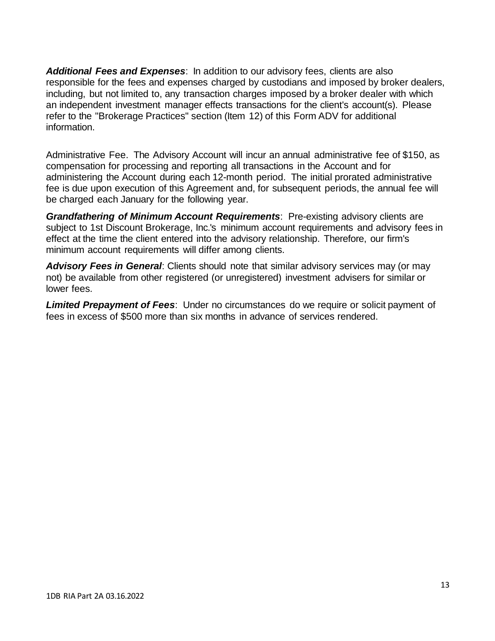*Additional Fees and Expenses*: In addition to our advisory fees, clients are also responsible for the fees and expenses charged by custodians and imposed by broker dealers, including, but not limited to, any transaction charges imposed by a broker dealer with which an independent investment manager effects transactions for the client's account(s). Please refer to the "Brokerage Practices" section (Item 12) of this Form ADV for additional information.

Administrative Fee. The Advisory Account will incur an annual administrative fee of \$150, as compensation for processing and reporting all transactions in the Account and for administering the Account during each 12-month period. The initial prorated administrative fee is due upon execution of this Agreement and, for subsequent periods, the annual fee will be charged each January for the following year.

*Grandfathering of Minimum Account Requirements*: Pre-existing advisory clients are subject to 1st Discount Brokerage, Inc.'s minimum account requirements and advisory fees in effect at the time the client entered into the advisory relationship. Therefore, our firm's minimum account requirements will differ among clients.

*Advisory Fees in General*: Clients should note that similar advisory services may (or may not) be available from other registered (or unregistered) investment advisers for similar or lower fees.

*Limited Prepayment of Fees*: Under no circumstances do we require or solicit payment of fees in excess of \$500 more than six months in advance of services rendered.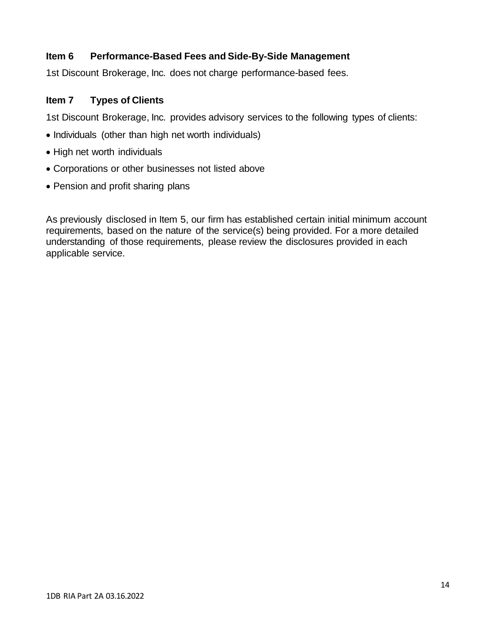### <span id="page-13-0"></span>**Item 6 Performance-Based Fees and Side-By-Side Management**

1st Discount Brokerage, Inc. does not charge performance-based fees.

#### <span id="page-13-1"></span>**Item 7 Types of Clients**

1st Discount Brokerage, Inc. provides advisory services to the following types of clients:

- Individuals (other than high net worth individuals)
- High net worth individuals
- Corporations or other businesses not listed above
- Pension and profit sharing plans

As previously disclosed in Item 5, our firm has established certain initial minimum account requirements, based on the nature of the service(s) being provided. For a more detailed understanding of those requirements, please review the disclosures provided in each applicable service.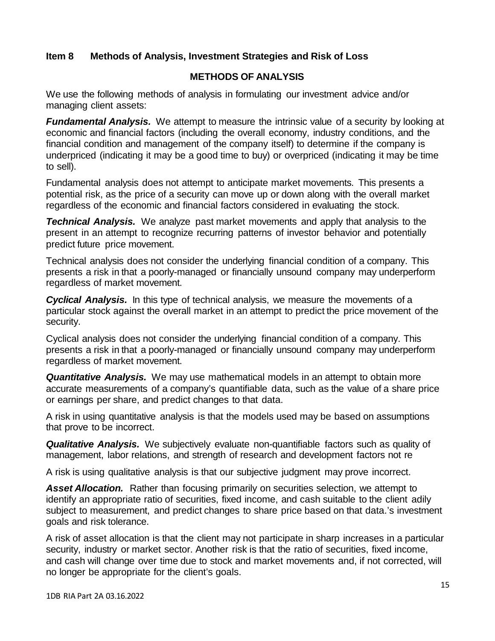### <span id="page-14-0"></span>**Item 8 Methods of Analysis, Investment Strategies and Risk of Loss**

#### **METHODS OF ANALYSIS**

We use the following methods of analysis in formulating our investment advice and/or managing client assets:

*Fundamental Analysis.* We attempt to measure the intrinsic value of a security by looking at economic and financial factors (including the overall economy, industry conditions, and the financial condition and management of the company itself) to determine if the company is underpriced (indicating it may be a good time to buy) or overpriced (indicating it may be time to sell).

Fundamental analysis does not attempt to anticipate market movements. This presents a potential risk, as the price of a security can move up or down along with the overall market regardless of the economic and financial factors considered in evaluating the stock.

*Technical Analysis.* We analyze past market movements and apply that analysis to the present in an attempt to recognize recurring patterns of investor behavior and potentially predict future price movement.

Technical analysis does not consider the underlying financial condition of a company. This presents a risk in that a poorly-managed or financially unsound company may underperform regardless of market movement.

*Cyclical Analysis.* In this type of technical analysis, we measure the movements of a particular stock against the overall market in an attempt to predict the price movement of the security.

Cyclical analysis does not consider the underlying financial condition of a company. This presents a risk in that a poorly-managed or financially unsound company may underperform regardless of market movement.

*Quantitative Analysis.* We may use mathematical models in an attempt to obtain more accurate measurements of a company's quantifiable data, such as the value of a share price or earnings per share, and predict changes to that data.

A risk in using quantitative analysis is that the models used may be based on assumptions that prove to be incorrect.

*Qualitative Analysis.* We subjectively evaluate non-quantifiable factors such as quality of management, labor relations, and strength of research and development factors not re

A risk is using qualitative analysis is that our subjective judgment may prove incorrect.

*Asset Allocation.* Rather than focusing primarily on securities selection, we attempt to identify an appropriate ratio of securities, fixed income, and cash suitable to the client adily subject to measurement, and predict changes to share price based on that data.'s investment goals and risk tolerance.

A risk of asset allocation is that the client may not participate in sharp increases in a particular security, industry or market sector. Another risk is that the ratio of securities, fixed income, and cash will change over time due to stock and market movements and, if not corrected, will no longer be appropriate for the client's goals.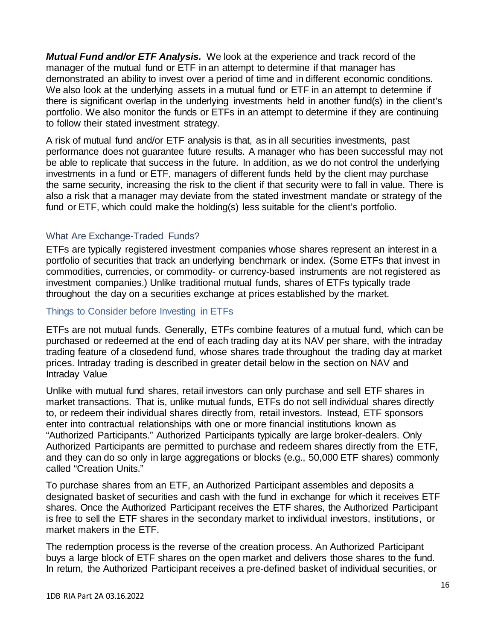*Mutual Fund and/or ETF Analysis.* We look at the experience and track record of the manager of the mutual fund or ETF in an attempt to determine if that manager has demonstrated an ability to invest over a period of time and in different economic conditions. We also look at the underlying assets in a mutual fund or ETF in an attempt to determine if there is significant overlap in the underlying investments held in another fund(s) in the client's portfolio. We also monitor the funds or ETFs in an attempt to determine if they are continuing to follow their stated investment strategy.

A risk of mutual fund and/or ETF analysis is that, as in all securities investments, past performance does not guarantee future results. A manager who has been successful may not be able to replicate that success in the future. In addition, as we do not control the underlying investments in a fund or ETF, managers of different funds held by the client may purchase the same security, increasing the risk to the client if that security were to fall in value. There is also a risk that a manager may deviate from the stated investment mandate or strategy of the fund or ETF, which could make the holding(s) less suitable for the client's portfolio.

#### What Are Exchange-Traded Funds?

ETFs are typically registered investment companies whose shares represent an interest in a portfolio of securities that track an underlying benchmark or index. (Some ETFs that invest in commodities, currencies, or commodity- or currency-based instruments are not registered as investment companies.) Unlike traditional mutual funds, shares of ETFs typically trade throughout the day on a securities exchange at prices established by the market.

#### Things to Consider before Investing in ETFs

ETFs are not mutual funds. Generally, ETFs combine features of a mutual fund, which can be purchased or redeemed at the end of each trading day at its NAV per share, with the intraday trading feature of a closedend fund, whose shares trade throughout the trading day at market prices. Intraday trading is described in greater detail below in the section on NAV and Intraday Value

Unlike with mutual fund shares, retail investors can only purchase and sell ETF shares in market transactions. That is, unlike mutual funds, ETFs do not sell individual shares directly to, or redeem their individual shares directly from, retail investors. Instead, ETF sponsors enter into contractual relationships with one or more financial institutions known as "Authorized Participants." Authorized Participants typically are large broker-dealers. Only Authorized Participants are permitted to purchase and redeem shares directly from the ETF, and they can do so only in large aggregations or blocks (e.g., 50,000 ETF shares) commonly called "Creation Units."

To purchase shares from an ETF, an Authorized Participant assembles and deposits a designated basket of securities and cash with the fund in exchange for which it receives ETF shares. Once the Authorized Participant receives the ETF shares, the Authorized Participant is free to sell the ETF shares in the secondary market to individual investors, institutions, or market makers in the ETF.

The redemption process is the reverse of the creation process. An Authorized Participant buys a large block of ETF shares on the open market and delivers those shares to the fund. In return, the Authorized Participant receives a pre-defined basket of individual securities, or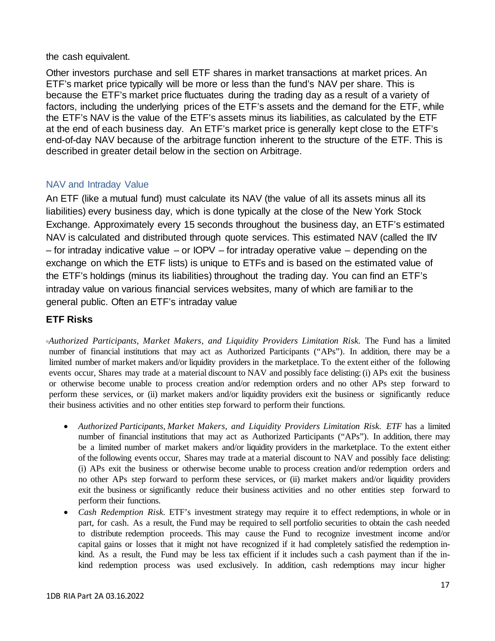the cash equivalent.

Other investors purchase and sell ETF shares in market transactions at market prices. An ETF's market price typically will be more or less than the fund's NAV per share. This is because the ETF's market price fluctuates during the trading day as a result of a variety of factors, including the underlying prices of the ETF's assets and the demand for the ETF, while the ETF's NAV is the value of the ETF's assets minus its liabilities, as calculated by the ETF at the end of each business day. An ETF's market price is generally kept close to the ETF's end-of-day NAV because of the arbitrage function inherent to the structure of the ETF. This is described in greater detail below in the section on Arbitrage.

### NAV and Intraday Value

An ETF (like a mutual fund) must calculate its NAV (the value of all its assets minus all its liabilities) every business day, which is done typically at the close of the New York Stock Exchange. Approximately every 15 seconds throughout the business day, an ETF's estimated NAV is calculated and distributed through quote services. This estimated NAV (called the IIV – for intraday indicative value – or IOPV – for intraday operative value – depending on the exchange on which the ETF lists) is unique to ETFs and is based on the estimated value of the ETF's holdings (minus its liabilities) throughout the trading day. You can find an ETF's intraday value on various financial services websites, many of which are familiar to the general public. Often an ETF's intraday value

### **ETF Risks**

**◦***Authorized Participants, Market Makers, and Liquidity Providers Limitation Risk.* The Fund has a limited number of financial institutions that may act as Authorized Participants ("APs"). In addition, there may be a limited number of market makers and/or liquidity providers in the marketplace. To the extent either of the following events occur, Shares may trade at a material discount to NAV and possibly face delisting:(i) APs exit the business or otherwise become unable to process creation and/or redemption orders and no other APs step forward to perform these services, or (ii) market makers and/or liquidity providers exit the business or significantly reduce their business activities and no other entities step forward to perform their functions.

- *Authorized Participants, Market Makers, and Liquidity Providers Limitation Risk. ETF* has a limited number of financial institutions that may act as Authorized Participants ("APs"). In addition, there may be a limited number of market makers and/or liquidity providers in the marketplace. To the extent either of the following events occur, Shares may trade at a material discount to NAV and possibly face delisting: (i) APs exit the business or otherwise become unable to process creation and/or redemption orders and no other APs step forward to perform these services, or (ii) market makers and/or liquidity providers exit the business or significantly reduce their business activities and no other entities step forward to perform their functions.
- *Cash Redemption Risk.* ETF's investment strategy may require it to effect redemptions, in whole or in part, for cash. As a result, the Fund may be required to sell portfolio securities to obtain the cash needed to distribute redemption proceeds. This may cause the Fund to recognize investment income and/or capital gains or losses that it might not have recognized if it had completely satisfied the redemption inkind. As a result, the Fund may be less tax efficient if it includes such a cash payment than if the inkind redemption process was used exclusively. In addition, cash redemptions may incur higher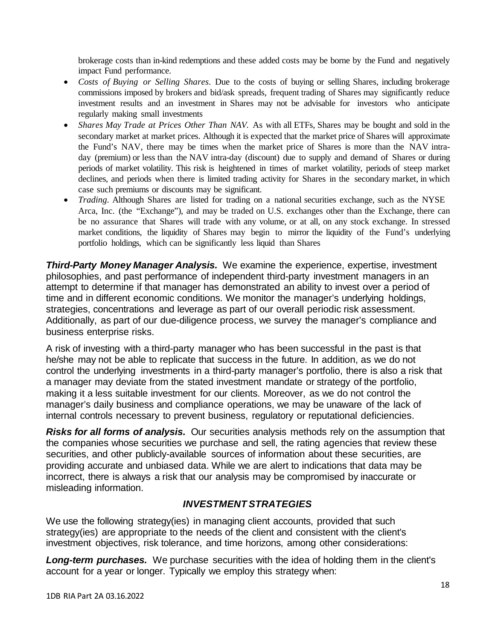brokerage costs than in-kind redemptions and these added costs may be borne by the Fund and negatively impact Fund performance.

- *Costs of Buying or Selling Shares.* Due to the costs of buying or selling Shares, including brokerage commissions imposed by brokers and bid/ask spreads, frequent trading of Shares may significantly reduce investment results and an investment in Shares may not be advisable for investors who anticipate regularly making small investments
- *Shares May Trade at Prices Other Than NAV.* As with all ETFs, Shares may be bought and sold in the secondary market at market prices. Although it is expected that the market price of Shares will approximate the Fund's NAV, there may be times when the market price of Shares is more than the NAV intraday (premium) or less than the NAV intra-day (discount) due to supply and demand of Shares or during periods of market volatility. This risk is heightened in times of market volatility, periods of steep market declines, and periods when there is limited trading activity for Shares in the secondary market, in which case such premiums or discounts may be significant.
- *Trading.* Although Shares are listed for trading on a national securities exchange, such as the NYSE Arca, Inc. (the "Exchange"), and may be traded on U.S. exchanges other than the Exchange, there can be no assurance that Shares will trade with any volume, or at all, on any stock exchange. In stressed market conditions, the liquidity of Shares may begin to mirror the liquidity of the Fund's underlying portfolio holdings, which can be significantly less liquid than Shares

*Third-Party Money Manager Analysis.* We examine the experience, expertise, investment philosophies, and past performance of independent third-party investment managers in an attempt to determine if that manager has demonstrated an ability to invest over a period of time and in different economic conditions. We monitor the manager's underlying holdings, strategies, concentrations and leverage as part of our overall periodic risk assessment. Additionally, as part of our due-diligence process, we survey the manager's compliance and business enterprise risks.

A risk of investing with a third-party manager who has been successful in the past is that he/she may not be able to replicate that success in the future. In addition, as we do not control the underlying investments in a third-party manager's portfolio, there is also a risk that a manager may deviate from the stated investment mandate or strategy of the portfolio, making it a less suitable investment for our clients. Moreover, as we do not control the manager's daily business and compliance operations, we may be unaware of the lack of internal controls necessary to prevent business, regulatory or reputational deficiencies.

*Risks for all forms of analysis.* Our securities analysis methods rely on the assumption that the companies whose securities we purchase and sell, the rating agencies that review these securities, and other publicly-available sources of information about these securities, are providing accurate and unbiased data. While we are alert to indications that data may be incorrect, there is always a risk that our analysis may be compromised by inaccurate or misleading information.

# *INVESTMENT STRATEGIES*

We use the following strategy(ies) in managing client accounts, provided that such strategy(ies) are appropriate to the needs of the client and consistent with the client's investment objectives, risk tolerance, and time horizons, among other considerations:

*Long-term purchases.* We purchase securities with the idea of holding them in the client's account for a year or longer. Typically we employ this strategy when: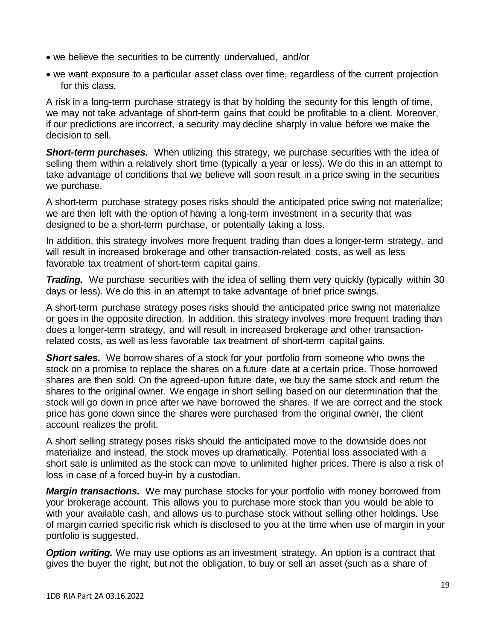- we believe the securities to be currently undervalued, and/or
- we want exposure to a particular asset class over time, regardless of the current projection for this class.

A risk in a long-term purchase strategy is that by holding the security for this length of time, we may not take advantage of short-term gains that could be profitable to a client. Moreover, if our predictions are incorrect, a security may decline sharply in value before we make the decision to sell.

**Short-term purchases.** When utilizing this strategy, we purchase securities with the idea of selling them within a relatively short time (typically a year or less). We do this in an attempt to take advantage of conditions that we believe will soon result in a price swing in the securities we purchase.

A short-term purchase strategy poses risks should the anticipated price swing not materialize; we are then left with the option of having a long-term investment in a security that was designed to be a short-term purchase, or potentially taking a loss.

In addition, this strategy involves more frequent trading than does a longer-term strategy, and will result in increased brokerage and other transaction-related costs, as well as less favorable tax treatment of short-term capital gains.

**Trading.** We purchase securities with the idea of selling them very quickly (typically within 30 days or less). We do this in an attempt to take advantage of brief price swings.

A short-term purchase strategy poses risks should the anticipated price swing not materialize or goes in the opposite direction. In addition, this strategy involves more frequent trading than does a longer-term strategy, and will result in increased brokerage and other transactionrelated costs, as well as less favorable tax treatment of short-term capital gains.

*Short sales.* We borrow shares of a stock for your portfolio from someone who owns the stock on a promise to replace the shares on a future date at a certain price. Those borrowed shares are then sold. On the agreed-upon future date, we buy the same stock and return the shares to the original owner. We engage in short selling based on our determination that the stock will go down in price after we have borrowed the shares. If we are correct and the stock price has gone down since the shares were purchased from the original owner, the client account realizes the profit.

A short selling strategy poses risks should the anticipated move to the downside does not materialize and instead, the stock moves up dramatically. Potential loss associated with a short sale is unlimited as the stock can move to unlimited higher prices. There is also a risk of loss in case of a forced buy-in by a custodian.

*Margin transactions.* We may purchase stocks for your portfolio with money borrowed from your brokerage account. This allows you to purchase more stock than you would be able to with your available cash, and allows us to purchase stock without selling other holdings. Use of margin carried specific risk which is disclosed to you at the time when use of margin in your portfolio is suggested.

*Option writing.* We may use options as an investment strategy. An option is a contract that gives the buyer the right, but not the obligation, to buy or sell an asset (such as a share of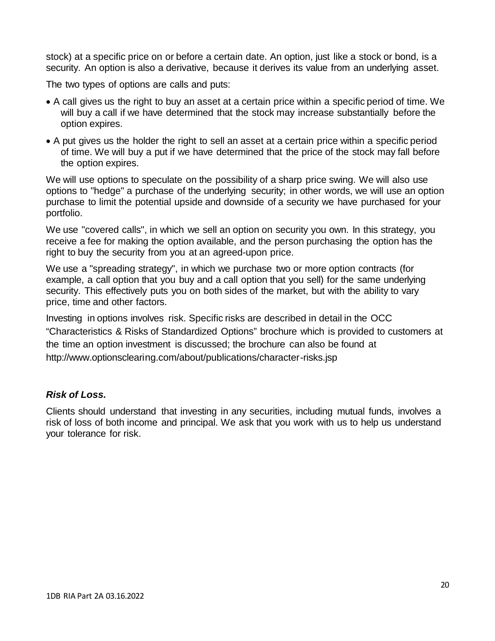stock) at a specific price on or before a certain date. An option, just like a stock or bond, is a security. An option is also a derivative, because it derives its value from an underlying asset.

The two types of options are calls and puts:

- A call gives us the right to buy an asset at a certain price within a specific period of time. We will buy a call if we have determined that the stock may increase substantially before the option expires.
- A put gives us the holder the right to sell an asset at a certain price within a specific period of time. We will buy a put if we have determined that the price of the stock may fall before the option expires.

We will use options to speculate on the possibility of a sharp price swing. We will also use options to "hedge" a purchase of the underlying security; in other words, we will use an option purchase to limit the potential upside and downside of a security we have purchased for your portfolio.

We use "covered calls", in which we sell an option on security you own. In this strategy, you receive a fee for making the option available, and the person purchasing the option has the right to buy the security from you at an agreed-upon price.

We use a "spreading strategy", in which we purchase two or more option contracts (for example, a call option that you buy and a call option that you sell) for the same underlying security. This effectively puts you on both sides of the market, but with the ability to vary price, time and other factors.

Investing in options involves risk. Specific risks are described in detail in the OCC "Characteristics & Risks of Standardized Options" brochure which is provided to customers at the time an option investment is discussed; the brochure can also be found at http://www.optionsclearing.com/about/publications/character-risks.jsp

#### *Risk of Loss.*

Clients should understand that investing in any securities, including mutual funds, involves a risk of loss of both income and principal. We ask that you work with us to help us understand your tolerance for risk.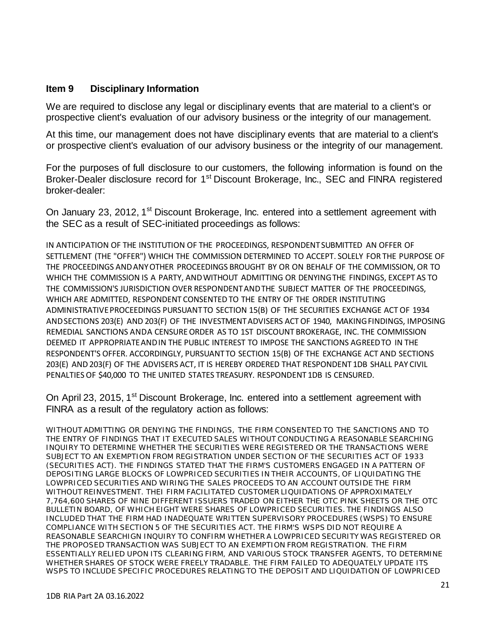#### <span id="page-20-0"></span>**Item 9 Disciplinary Information**

We are required to disclose any legal or disciplinary events that are material to a client's or prospective client's evaluation of our advisory business or the integrity of our management.

At this time, our management does not have disciplinary events that are material to a client's or prospective client's evaluation of our advisory business or the integrity of our management.

For the purposes of full disclosure to our customers, the following information is found on the Broker-Dealer disclosure record for 1<sup>st</sup> Discount Brokerage, Inc., SEC and FINRA registered broker-dealer:

On January 23, 2012, 1<sup>st</sup> Discount Brokerage, Inc. entered into a settlement agreement with the SEC as a result of SEC-initiated proceedings as follows:

IN ANTICIPATION OF THE INSTITUTION OF THE PROCEEDINGS, RESPONDENTSUBMITTED AN OFFER OF SETTLEMENT (THE "OFFER") WHICH THE COMMISSION DETERMINED TO ACCEPT. SOLELY FOR THE PURPOSE OF THE PROCEEDINGS ANDANYOTHER PROCEEDINGS BROUGHT BY OR ON BEHALF OF THE COMMISSION, OR TO WHICH THE COMMISSION IS A PARTY, ANDWITHOUT ADMITTING OR DENYINGTHE FINDINGS, EXCEPT AS TO THE COMMISSION'S JURISDICTION OVER RESPONDENTANDTHE SUBJECT MATTER OF THE PROCEEDINGS, WHICH ARE ADMITTED, RESPONDENT CONSENTED TO THE ENTRY OF THE ORDER INSTITUTING ADMINISTRATIVEPROCEEDINGS PURSUANTTO SECTION 15(B) OF THE SECURITIES EXCHANGE ACT OF 1934 ANDSECTIONS 203(E) AND 203(F) OF THE INVESTMENTADVISERS ACTOF 1940, MAKINGFINDINGS, IMPOSING REMEDIAL SANCTIONS ANDA CENSURE ORDER AS TO 1ST DISCOUNT BROKERAGE, INC. THE COMMISSION DEEMED IT APPROPRIATEANDIN THE PUBLIC INTEREST TO IMPOSE THE SANCTIONS AGREEDTO IN THE RESPONDENT'S OFFER. ACCORDINGLY, PURSUANTTO SECTION 15(B) OF THE EXCHANGE ACT AND SECTIONS 203(E) AND 203(F) OF THE ADVISERS ACT, IT IS HEREBY ORDERED THAT RESPONDENT 1DB SHALL PAY CIVIL PENALTIES OF \$40,000 TO THE UNITED STATES TREASURY. RESPONDENT 1DB IS CENSURED.

On April 23, 2015, 1<sup>st</sup> Discount Brokerage, Inc. entered into a settlement agreement with FINRA as a result of the regulatory action as follows:

WITHOUT ADMITTING OR DENYING THE FINDINGS, THE FIRM CONSENTED TO THE SANCTIONS AND TO THE ENTRY OF FINDINGS THAT IT EXECUTED SALES WITHOUT CONDUCTING A REASONABLE SEARCHING INQUIRY TO DETERMINE WHETHER THE SECURITIES WERE REGISTERED OR THE TRANSACTIONS WERE SUBJECT TO AN EXEMPTION FROM REGISTRATION UNDER SECTION OF THE SECURITIES ACT OF 1933 (SECURITIES ACT). THE FINDINGS STATED THAT THE FIRM'S CUSTOMERS ENGAGED IN A PATTERN OF DEPOSITING LARGE BLOCKS OF LOWPRICED SECURITIES IN THEIR ACCOUNTS, OF LIQUIDATING THE LOWPRICED SECURITIES AND WIRING THE SALES PROCEEDS TO AN ACCOUNT OUTSIDE THE FIRM WITHOUT REINVESTMENT. THEI FIRM FACILITATED CUSTOMER LIQUIDATIONS OF APPROXIMATELY 7,764,600 SHARES OF NINE DIFFERENT ISSUERS TRADED ON EITHER THE OTC PINK SHEETS OR THE OTC BULLETIN BOARD, OF WHICH EIGHT WERE SHARES OF LOWPRICED SECURITIES. THE FINDINGS ALSO INCLUDED THAT THE FIRM HAD INADEQUATE WRITTEN SUPERVISORY PROCEDURES (WSPS) TO ENSURE COMPLIANCE WITH SECTION 5 OF THE SECURITIES ACT. THE FIRM'S WSPS DID NOT REQUIRE A REASONABLE SEARCHIGN INQUIRY TO CONFIRM WHETHER A LOWPRICED SECURITY WAS REGISTERED OR THE PROPOSED TRANSACTION WAS SUBJECT TO AN EXEMPTION FROM REGISTRATION. THE FIRM ESSENTIALLY RELIED UPON ITS CLEARING FIRM, AND VARIOUS STOCK TRANSFER AGENTS, TO DETERMINE WHETHER SHARES OF STOCK WERE FREELY TRADABLE. THE FIRM FAILED TO ADEQUATELY UPDATE ITS WSPS TO INCLUDE SPECIFIC PROCEDURES RELATING TO THE DEPOSIT AND LIQUIDATION OF LOWPRICED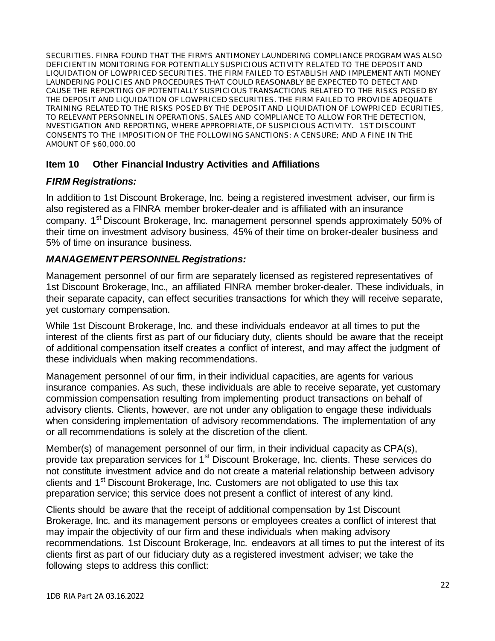SECURITIES. FINRA FOUND THAT THE FIRM'S ANTIMONEY LAUNDERING COMPLIANCE PROGRAM WAS ALSO DEFICIENT IN MONITORING FOR POTENTIALLY SUSPICIOUS ACTIVITY RELATED TO THE DEPOSIT AND LIQUIDATION OF LOWPRICED SECURITIES. THE FIRM FAILED TO ESTABLISH AND IMPLEMENT ANTI MONEY LAUNDERING POLICIES AND PROCEDURES THAT COULD REASONABLY BE EXPECTED TO DETECT AND CAUSE THE REPORTING OF POTENTIALLY SUSPICIOUS TRANSACTIONS RELATED TO THE RISKS POSED BY THE DEPOSIT AND LIQUIDATION OF LOWPRICED SECURITIES. THE FIRM FAILED TO PROVIDE ADEQUATE TRAINING RELATED TO THE RISKS POSED BY THE DEPOSIT AND LIQUIDATION OF LOWPRICED ECURITIES, TO RELEVANT PERSONNEL IN OPERATIONS, SALES AND COMPLIANCE TO ALLOW FOR THE DETECTION, NVESTIGATION AND REPORTING, WHERE APPROPRIATE, OF SUSPICIOUS ACTIVITY. 1ST DISCOUNT CONSENTS TO THE IMPOSITION OF THE FOLLOWING SANCTIONS: A CENSURE; AND A FINE IN THE AMOUNT OF \$60,000.00

### <span id="page-21-0"></span>**Item 10 Other Financial Industry Activities and Affiliations**

#### *FIRM Registrations:*

In addition to 1st Discount Brokerage, Inc. being a registered investment adviser, our firm is also registered as a FINRA member broker-dealer and is affiliated with an insurance company. 1<sup>st</sup> Discount Brokerage, Inc. management personnel spends approximately 50% of their time on investment advisory business, 45% of their time on broker-dealer business and 5% of time on insurance business.

#### *MANAGEMENT PERSONNEL Registrations:*

Management personnel of our firm are separately licensed as registered representatives of 1st Discount Brokerage, Inc., an affiliated FINRA member broker-dealer. These individuals, in their separate capacity, can effect securities transactions for which they will receive separate, yet customary compensation.

While 1st Discount Brokerage, Inc. and these individuals endeavor at all times to put the interest of the clients first as part of our fiduciary duty, clients should be aware that the receipt of additional compensation itself creates a conflict of interest, and may affect the judgment of these individuals when making recommendations.

Management personnel of our firm, in their individual capacities, are agents for various insurance companies. As such, these individuals are able to receive separate, yet customary commission compensation resulting from implementing product transactions on behalf of advisory clients. Clients, however, are not under any obligation to engage these individuals when considering implementation of advisory recommendations. The implementation of any or all recommendations is solely at the discretion of the client.

Member(s) of management personnel of our firm, in their individual capacity as CPA(s), provide tax preparation services for 1<sup>st</sup> Discount Brokerage, Inc. clients. These services do not constitute investment advice and do not create a material relationship between advisory clients and 1<sup>st</sup> Discount Brokerage, Inc. Customers are not obligated to use this tax preparation service; this service does not present a conflict of interest of any kind.

Clients should be aware that the receipt of additional compensation by 1st Discount Brokerage, Inc. and its management persons or employees creates a conflict of interest that may impair the objectivity of our firm and these individuals when making advisory recommendations. 1st Discount Brokerage, Inc. endeavors at all times to put the interest of its clients first as part of our fiduciary duty as a registered investment adviser; we take the following steps to address this conflict: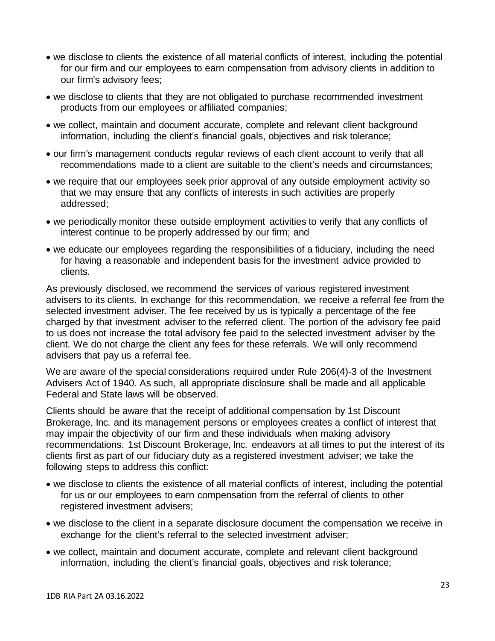- we disclose to clients the existence of all material conflicts of interest, including the potential for our firm and our employees to earn compensation from advisory clients in addition to our firm's advisory fees;
- we disclose to clients that they are not obligated to purchase recommended investment products from our employees or affiliated companies;
- we collect, maintain and document accurate, complete and relevant client background information, including the client's financial goals, objectives and risk tolerance;
- our firm's management conducts regular reviews of each client account to verify that all recommendations made to a client are suitable to the client's needs and circumstances;
- we require that our employees seek prior approval of any outside employment activity so that we may ensure that any conflicts of interests in such activities are properly addressed;
- we periodically monitor these outside employment activities to verify that any conflicts of interest continue to be properly addressed by our firm; and
- we educate our employees regarding the responsibilities of a fiduciary, including the need for having a reasonable and independent basis for the investment advice provided to clients.

As previously disclosed, we recommend the services of various registered investment advisers to its clients. In exchange for this recommendation, we receive a referral fee from the selected investment adviser. The fee received by us is typically a percentage of the fee charged by that investment adviser to the referred client. The portion of the advisory fee paid to us does not increase the total advisory fee paid to the selected investment adviser by the client. We do not charge the client any fees for these referrals. We will only recommend advisers that pay us a referral fee.

We are aware of the special considerations required under Rule 206(4)-3 of the Investment Advisers Act of 1940. As such, all appropriate disclosure shall be made and all applicable Federal and State laws will be observed.

Clients should be aware that the receipt of additional compensation by 1st Discount Brokerage, Inc. and its management persons or employees creates a conflict of interest that may impair the objectivity of our firm and these individuals when making advisory recommendations. 1st Discount Brokerage, Inc. endeavors at all times to put the interest of its clients first as part of our fiduciary duty as a registered investment adviser; we take the following steps to address this conflict:

- we disclose to clients the existence of all material conflicts of interest, including the potential for us or our employees to earn compensation from the referral of clients to other registered investment advisers;
- we disclose to the client in a separate disclosure document the compensation we receive in exchange for the client's referral to the selected investment adviser;
- we collect, maintain and document accurate, complete and relevant client background information, including the client's financial goals, objectives and risk tolerance;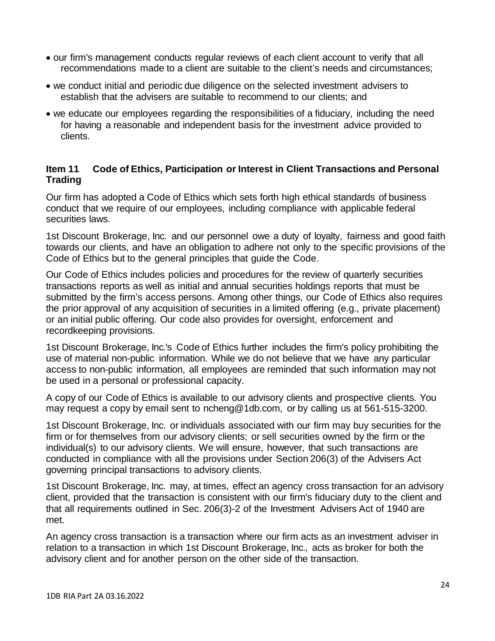- our firm's management conducts regular reviews of each client account to verify that all recommendations made to a client are suitable to the client's needs and circumstances;
- we conduct initial and periodic due diligence on the selected investment advisers to establish that the advisers are suitable to recommend to our clients; and
- we educate our employees regarding the responsibilities of a fiduciary, including the need for having a reasonable and independent basis for the investment advice provided to clients.

### <span id="page-23-0"></span>**Item 11 Code of Ethics, Participation or Interest in Client Transactions and Personal Trading**

Our firm has adopted a Code of Ethics which sets forth high ethical standards of business conduct that we require of our employees, including compliance with applicable federal securities laws.

1st Discount Brokerage, Inc. and our personnel owe a duty of loyalty, fairness and good faith towards our clients, and have an obligation to adhere not only to the specific provisions of the Code of Ethics but to the general principles that guide the Code.

Our Code of Ethics includes policies and procedures for the review of quarterly securities transactions reports as well as initial and annual securities holdings reports that must be submitted by the firm's access persons. Among other things, our Code of Ethics also requires the prior approval of any acquisition of securities in a limited offering (e.g., private placement) or an initial public offering. Our code also provides for oversight, enforcement and recordkeeping provisions.

1st Discount Brokerage, Inc.'s Code of Ethics further includes the firm's policy prohibiting the use of material non-public information. While we do not believe that we have any particular access to non-public information, all employees are reminded that such information may not be used in a personal or professional capacity.

A copy of our Code of Ethics is available to our advisory clients and prospective clients. You may request a copy by email sent to [ncheng@1db.com,](mailto:ncheng@1db.com) or by calling us at 561-515-3200.

1st Discount Brokerage, Inc. or individuals associated with our firm may buy securities for the firm or for themselves from our advisory clients; or sell securities owned by the firm or the individual(s) to our advisory clients. We will ensure, however, that such transactions are conducted in compliance with all the provisions under Section 206(3) of the Advisers Act governing principal transactions to advisory clients.

1st Discount Brokerage, Inc. may, at times, effect an agency cross transaction for an advisory client, provided that the transaction is consistent with our firm's fiduciary duty to the client and that all requirements outlined in Sec. 206(3)-2 of the Investment Advisers Act of 1940 are met.

An agency cross transaction is a transaction where our firm acts as an investment adviser in relation to a transaction in which 1st Discount Brokerage, Inc., acts as broker for both the advisory client and for another person on the other side of the transaction.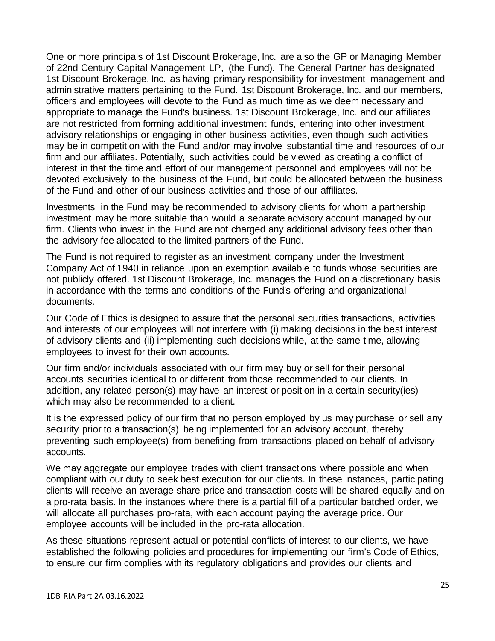One or more principals of 1st Discount Brokerage, Inc. are also the GP or Managing Member of 22nd Century Capital Management LP, (the Fund). The General Partner has designated 1st Discount Brokerage, Inc. as having primary responsibility for investment management and administrative matters pertaining to the Fund. 1st Discount Brokerage, Inc. and our members, officers and employees will devote to the Fund as much time as we deem necessary and appropriate to manage the Fund's business. 1st Discount Brokerage, Inc. and our affiliates are not restricted from forming additional investment funds, entering into other investment advisory relationships or engaging in other business activities, even though such activities may be in competition with the Fund and/or may involve substantial time and resources of our firm and our affiliates. Potentially, such activities could be viewed as creating a conflict of interest in that the time and effort of our management personnel and employees will not be devoted exclusively to the business of the Fund, but could be allocated between the business of the Fund and other of our business activities and those of our affiliates.

Investments in the Fund may be recommended to advisory clients for whom a partnership investment may be more suitable than would a separate advisory account managed by our firm. Clients who invest in the Fund are not charged any additional advisory fees other than the advisory fee allocated to the limited partners of the Fund.

The Fund is not required to register as an investment company under the Investment Company Act of 1940 in reliance upon an exemption available to funds whose securities are not publicly offered. 1st Discount Brokerage, Inc. manages the Fund on a discretionary basis in accordance with the terms and conditions of the Fund's offering and organizational documents.

Our Code of Ethics is designed to assure that the personal securities transactions, activities and interests of our employees will not interfere with (i) making decisions in the best interest of advisory clients and (ii) implementing such decisions while, at the same time, allowing employees to invest for their own accounts.

Our firm and/or individuals associated with our firm may buy or sell for their personal accounts securities identical to or different from those recommended to our clients. In addition, any related person(s) may have an interest or position in a certain security(ies) which may also be recommended to a client.

It is the expressed policy of our firm that no person employed by us may purchase or sell any security prior to a transaction(s) being implemented for an advisory account, thereby preventing such employee(s) from benefiting from transactions placed on behalf of advisory accounts.

We may aggregate our employee trades with client transactions where possible and when compliant with our duty to seek best execution for our clients. In these instances, participating clients will receive an average share price and transaction costs will be shared equally and on a pro-rata basis. In the instances where there is a partial fill of a particular batched order, we will allocate all purchases pro-rata, with each account paying the average price. Our employee accounts will be included in the pro-rata allocation.

As these situations represent actual or potential conflicts of interest to our clients, we have established the following policies and procedures for implementing our firm's Code of Ethics, to ensure our firm complies with its regulatory obligations and provides our clients and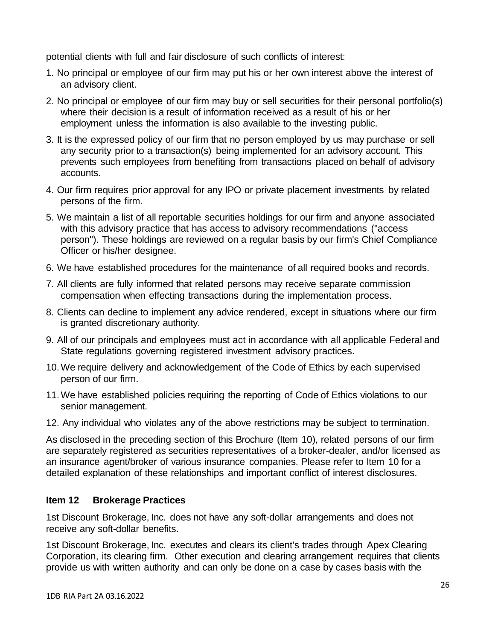potential clients with full and fair disclosure of such conflicts of interest:

- 1. No principal or employee of our firm may put his or her own interest above the interest of an advisory client.
- 2. No principal or employee of our firm may buy or sell securities for their personal portfolio(s) where their decision is a result of information received as a result of his or her employment unless the information is also available to the investing public.
- 3. It is the expressed policy of our firm that no person employed by us may purchase or sell any security prior to a transaction(s) being implemented for an advisory account. This prevents such employees from benefiting from transactions placed on behalf of advisory accounts.
- 4. Our firm requires prior approval for any IPO or private placement investments by related persons of the firm.
- 5. We maintain a list of all reportable securities holdings for our firm and anyone associated with this advisory practice that has access to advisory recommendations ("access person"). These holdings are reviewed on a regular basis by our firm's Chief Compliance Officer or his/her designee.
- 6. We have established procedures for the maintenance of all required books and records.
- 7. All clients are fully informed that related persons may receive separate commission compensation when effecting transactions during the implementation process.
- 8. Clients can decline to implement any advice rendered, except in situations where our firm is granted discretionary authority.
- 9. All of our principals and employees must act in accordance with all applicable Federal and State regulations governing registered investment advisory practices.
- 10.We require delivery and acknowledgement of the Code of Ethics by each supervised person of our firm.
- 11.We have established policies requiring the reporting of Code of Ethics violations to our senior management.
- 12. Any individual who violates any of the above restrictions may be subject to termination.

As disclosed in the preceding section of this Brochure (Item 10), related persons of our firm are separately registered as securities representatives of a broker-dealer, and/or licensed as an insurance agent/broker of various insurance companies. Please refer to Item 10 for a detailed explanation of these relationships and important conflict of interest disclosures.

# <span id="page-25-0"></span>**Item 12 Brokerage Practices**

1st Discount Brokerage, Inc. does not have any soft-dollar arrangements and does not receive any soft-dollar benefits.

1st Discount Brokerage, Inc. executes and clears its client's trades through Apex Clearing Corporation, its clearing firm. Other execution and clearing arrangement requires that clients provide us with written authority and can only be done on a case by cases basis with the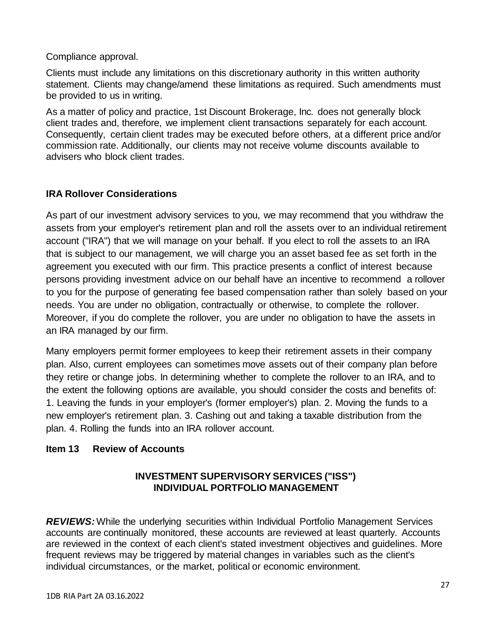Compliance approval.

Clients must include any limitations on this discretionary authority in this written authority statement. Clients may change/amend these limitations as required. Such amendments must be provided to us in writing.

As a matter of policy and practice, 1st Discount Brokerage, Inc. does not generally block client trades and, therefore, we implement client transactions separately for each account. Consequently, certain client trades may be executed before others, at a different price and/or commission rate. Additionally, our clients may not receive volume discounts available to advisers who block client trades.

# **IRA Rollover Considerations**

As part of our investment advisory services to you, we may recommend that you withdraw the assets from your employer's retirement plan and roll the assets over to an individual retirement account ("IRA") that we will manage on your behalf. If you elect to roll the assets to an IRA that is subject to our management, we will charge you an asset based fee as set forth in the agreement you executed with our firm. This practice presents a conflict of interest because persons providing investment advice on our behalf have an incentive to recommend a rollover to you for the purpose of generating fee based compensation rather than solely based on your needs. You are under no obligation, contractually or otherwise, to complete the rollover. Moreover, if you do complete the rollover, you are under no obligation to have the assets in an IRA managed by our firm.

Many employers permit former employees to keep their retirement assets in their company plan. Also, current employees can sometimes move assets out of their company plan before they retire or change jobs. In determining whether to complete the rollover to an IRA, and to the extent the following options are available, you should consider the costs and benefits of: 1. Leaving the funds in your employer's (former employer's) plan. 2. Moving the funds to a new employer's retirement plan. 3. Cashing out and taking a taxable distribution from the plan. 4. Rolling the funds into an IRA rollover account.

# <span id="page-26-0"></span>**Item 13 Review of Accounts**

# **INVESTMENT SUPERVISORY SERVICES ("ISS") INDIVIDUAL PORTFOLIO MANAGEMENT**

*REVIEWS:*While the underlying securities within Individual Portfolio Management Services accounts are continually monitored, these accounts are reviewed at least quarterly. Accounts are reviewed in the context of each client's stated investment objectives and guidelines. More frequent reviews may be triggered by material changes in variables such as the client's individual circumstances, or the market, political or economic environment.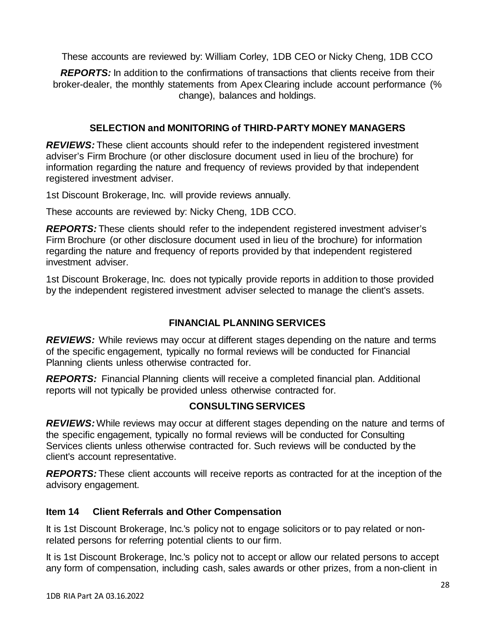These accounts are reviewed by: William Corley, 1DB CEO or Nicky Cheng, 1DB CCO

*REPORTS:* In addition to the confirmations of transactions that clients receive from their broker-dealer, the monthly statements from Apex Clearing include account performance (% change), balances and holdings.

# **SELECTION and MONITORING of THIRD-PARTY MONEY MANAGERS**

*REVIEWS:* These client accounts should refer to the independent registered investment adviser's Firm Brochure (or other disclosure document used in lieu of the brochure) for information regarding the nature and frequency of reviews provided by that independent registered investment adviser.

1st Discount Brokerage, Inc. will provide reviews annually.

These accounts are reviewed by: Nicky Cheng, 1DB CCO.

*REPORTS:* These clients should refer to the independent registered investment adviser's Firm Brochure (or other disclosure document used in lieu of the brochure) for information regarding the nature and frequency of reports provided by that independent registered investment adviser.

1st Discount Brokerage, Inc. does not typically provide reports in addition to those provided by the independent registered investment adviser selected to manage the client's assets.

# **FINANCIAL PLANNING SERVICES**

*REVIEWS:* While reviews may occur at different stages depending on the nature and terms of the specific engagement, typically no formal reviews will be conducted for Financial Planning clients unless otherwise contracted for.

**REPORTS:** Financial Planning clients will receive a completed financial plan. Additional reports will not typically be provided unless otherwise contracted for.

# **CONSULTINGSERVICES**

*REVIEWS:*While reviews may occur at different stages depending on the nature and terms of the specific engagement, typically no formal reviews will be conducted for Consulting Services clients unless otherwise contracted for. Such reviews will be conducted by the client's account representative.

*REPORTS:* These client accounts will receive reports as contracted for at the inception of the advisory engagement.

# <span id="page-27-0"></span>**Item 14 Client Referrals and Other Compensation**

It is 1st Discount Brokerage, Inc.'s policy not to engage solicitors or to pay related or nonrelated persons for referring potential clients to our firm.

It is 1st Discount Brokerage, Inc.'s policy not to accept or allow our related persons to accept any form of compensation, including cash, sales awards or other prizes, from a non-client in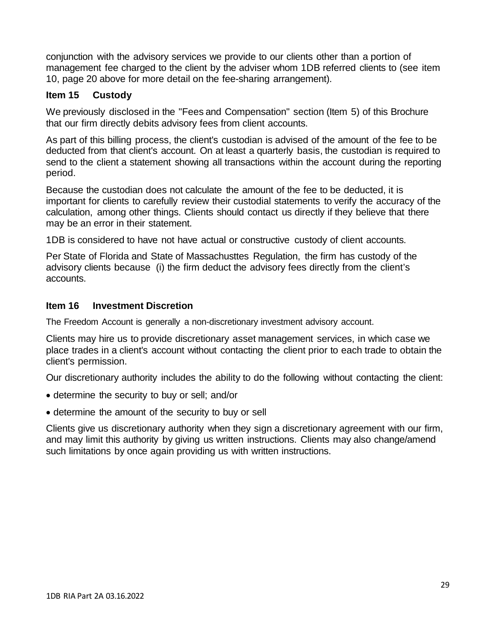conjunction with the advisory services we provide to our clients other than a portion of management fee charged to the client by the adviser whom 1DB referred clients to (see item 10, page 20 above for more detail on the fee-sharing arrangement).

### <span id="page-28-0"></span>**Item 15 Custody**

We previously disclosed in the "Fees and Compensation" section (Item 5) of this Brochure that our firm directly debits advisory fees from client accounts.

As part of this billing process, the client's custodian is advised of the amount of the fee to be deducted from that client's account. On at least a quarterly basis, the custodian is required to send to the client a statement showing all transactions within the account during the reporting period.

Because the custodian does not calculate the amount of the fee to be deducted, it is important for clients to carefully review their custodial statements to verify the accuracy of the calculation, among other things. Clients should contact us directly if they believe that there may be an error in their statement.

1DB is considered to have not have actual or constructive custody of client accounts.

Per State of Florida and State of Massachusttes Regulation, the firm has custody of the advisory clients because (i) the firm deduct the advisory fees directly from the client's accounts.

#### <span id="page-28-1"></span>**Item 16 Investment Discretion**

The Freedom Account is generally a non-discretionary investment advisory account.

Clients may hire us to provide discretionary asset management services, in which case we place trades in a client's account without contacting the client prior to each trade to obtain the client's permission.

Our discretionary authority includes the ability to do the following without contacting the client:

- determine the security to buy or sell; and/or
- determine the amount of the security to buy or sell

Clients give us discretionary authority when they sign a discretionary agreement with our firm, and may limit this authority by giving us written instructions. Clients may also change/amend such limitations by once again providing us with written instructions.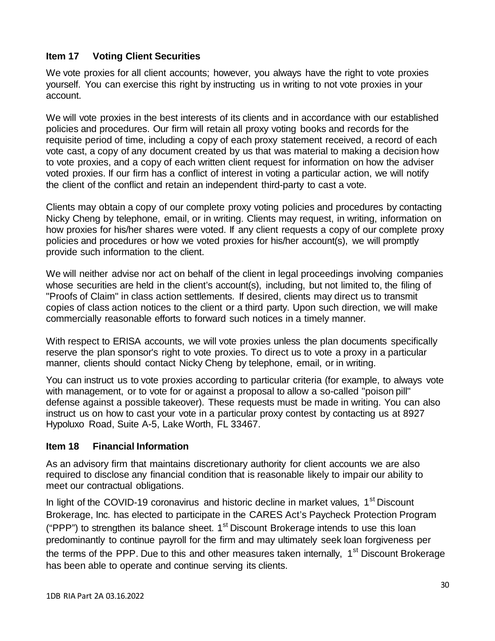## <span id="page-29-0"></span>**Item 17 Voting Client Securities**

We vote proxies for all client accounts; however, you always have the right to vote proxies yourself. You can exercise this right by instructing us in writing to not vote proxies in your account.

We will vote proxies in the best interests of its clients and in accordance with our established policies and procedures. Our firm will retain all proxy voting books and records for the requisite period of time, including a copy of each proxy statement received, a record of each vote cast, a copy of any document created by us that was material to making a decision how to vote proxies, and a copy of each written client request for information on how the adviser voted proxies. If our firm has a conflict of interest in voting a particular action, we will notify the client of the conflict and retain an independent third-party to cast a vote.

Clients may obtain a copy of our complete proxy voting policies and procedures by contacting Nicky Cheng by telephone, email, or in writing. Clients may request, in writing, information on how proxies for his/her shares were voted. If any client requests a copy of our complete proxy policies and procedures or how we voted proxies for his/her account(s), we will promptly provide such information to the client.

We will neither advise nor act on behalf of the client in legal proceedings involving companies whose securities are held in the client's account(s), including, but not limited to, the filing of "Proofs of Claim" in class action settlements. If desired, clients may direct us to transmit copies of class action notices to the client or a third party. Upon such direction, we will make commercially reasonable efforts to forward such notices in a timely manner.

With respect to ERISA accounts, we will vote proxies unless the plan documents specifically reserve the plan sponsor's right to vote proxies. To direct us to vote a proxy in a particular manner, clients should contact Nicky Cheng by telephone, email, or in writing.

You can instruct us to vote proxies according to particular criteria (for example, to always vote with management, or to vote for or against a proposal to allow a so-called "poison pill" defense against a possible takeover). These requests must be made in writing. You can also instruct us on how to cast your vote in a particular proxy contest by contacting us at 8927 Hypoluxo Road, Suite A-5, Lake Worth, FL 33467.

#### <span id="page-29-1"></span>**Item 18 Financial Information**

As an advisory firm that maintains discretionary authority for client accounts we are also required to disclose any financial condition that is reasonable likely to impair our ability to meet our contractual obligations.

In light of the COVID-19 coronavirus and historic decline in market values,  $1<sup>st</sup>$  Discount Brokerage, Inc. has elected to participate in the CARES Act's Paycheck Protection Program ("PPP") to strengthen its balance sheet.  $1<sup>st</sup>$  Discount Brokerage intends to use this loan predominantly to continue payroll for the firm and may ultimately seek loan forgiveness per the terms of the PPP. Due to this and other measures taken internally, 1<sup>st</sup> Discount Brokerage has been able to operate and continue serving its clients.